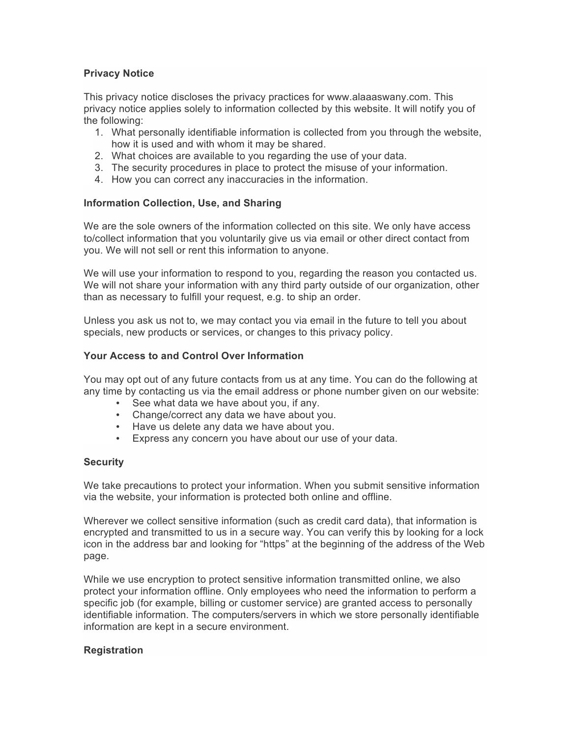## **Privacy Notice**

This privacy notice discloses the privacy practices for www.alaaaswany.com. This privacy notice applies solely to information collected by this website. It will notify you of the following:

- 1. What personally identifiable information is collected from you through the website, how it is used and with whom it may be shared.
- 2. What choices are available to you regarding the use of your data.
- 3. The security procedures in place to protect the misuse of your information.
- 4. How you can correct any inaccuracies in the information.

#### **Information Collection, Use, and Sharing**

We are the sole owners of the information collected on this site. We only have access to/collect information that you voluntarily give us via email or other direct contact from you. We will not sell or rent this information to anyone.

We will use your information to respond to you, regarding the reason you contacted us. We will not share your information with any third party outside of our organization, other than as necessary to fulfill your request, e.g. to ship an order.

Unless you ask us not to, we may contact you via email in the future to tell you about specials, new products or services, or changes to this privacy policy.

#### **Your Access to and Control Over Information**

You may opt out of any future contacts from us at any time. You can do the following at any time by contacting us via the email address or phone number given on our website:

- See what data we have about you, if any.
- Change/correct any data we have about you.
- Have us delete any data we have about you.
- Express any concern you have about our use of your data.

#### **Security**

We take precautions to protect your information. When you submit sensitive information via the website, your information is protected both online and offline.

Wherever we collect sensitive information (such as credit card data), that information is encrypted and transmitted to us in a secure way. You can verify this by looking for a lock icon in the address bar and looking for "https" at the beginning of the address of the Web page.

While we use encryption to protect sensitive information transmitted online, we also protect your information offline. Only employees who need the information to perform a specific job (for example, billing or customer service) are granted access to personally identifiable information. The computers/servers in which we store personally identifiable information are kept in a secure environment.

#### **Registration**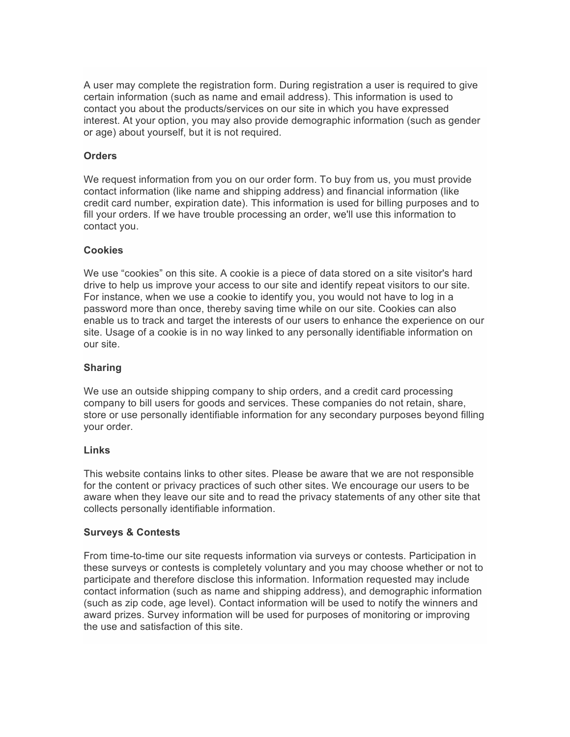A user may complete the registration form. During registration a user is required to give certain information (such as name and email address). This information is used to contact you about the products/services on our site in which you have expressed interest. At your option, you may also provide demographic information (such as gender or age) about yourself, but it is not required.

## **Orders**

We request information from you on our order form. To buy from us, you must provide contact information (like name and shipping address) and financial information (like credit card number, expiration date). This information is used for billing purposes and to fill your orders. If we have trouble processing an order, we'll use this information to contact you.

## **Cookies**

We use "cookies" on this site. A cookie is a piece of data stored on a site visitor's hard drive to help us improve your access to our site and identify repeat visitors to our site. For instance, when we use a cookie to identify you, you would not have to log in a password more than once, thereby saving time while on our site. Cookies can also enable us to track and target the interests of our users to enhance the experience on our site. Usage of a cookie is in no way linked to any personally identifiable information on our site.

# **Sharing**

We use an outside shipping company to ship orders, and a credit card processing company to bill users for goods and services. These companies do not retain, share, store or use personally identifiable information for any secondary purposes beyond filling your order.

## **Links**

This website contains links to other sites. Please be aware that we are not responsible for the content or privacy practices of such other sites. We encourage our users to be aware when they leave our site and to read the privacy statements of any other site that collects personally identifiable information.

## **Surveys & Contests**

From time-to-time our site requests information via surveys or contests. Participation in these surveys or contests is completely voluntary and you may choose whether or not to participate and therefore disclose this information. Information requested may include contact information (such as name and shipping address), and demographic information (such as zip code, age level). Contact information will be used to notify the winners and award prizes. Survey information will be used for purposes of monitoring or improving the use and satisfaction of this site.